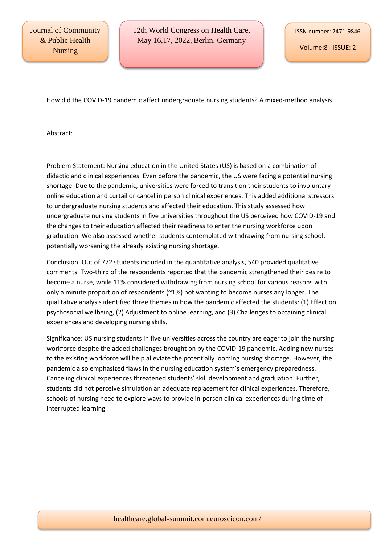Volume:8| ISSUE: 2

How did the COVID-19 pandemic affect undergraduate nursing students? A mixed-method analysis.

Abstract:

Problem Statement: Nursing education in the United States (US) is based on a combination of didactic and clinical experiences. Even before the pandemic, the US were facing a potential nursing shortage. Due to the pandemic, universities were forced to transition their students to involuntary online education and curtail or cancel in person clinical experiences. This added additional stressors to undergraduate nursing students and affected their education. This study assessed how undergraduate nursing students in five universities throughout the US perceived how COVID-19 and the changes to their education affected their readiness to enter the nursing workforce upon graduation. We also assessed whether students contemplated withdrawing from nursing school, potentially worsening the already existing nursing shortage.

Conclusion: Out of 772 students included in the quantitative analysis, 540 provided qualitative comments. Two-third of the respondents reported that the pandemic strengthened their desire to become a nurse, while 11% considered withdrawing from nursing school for various reasons with only a minute proportion of respondents (~1%) not wanting to become nurses any longer. The qualitative analysis identified three themes in how the pandemic affected the students: (1) Effect on psychosocial wellbeing, (2) Adjustment to online learning, and (3) Challenges to obtaining clinical experiences and developing nursing skills.

Significance: US nursing students in five universities across the country are eager to join the nursing workforce despite the added challenges brought on by the COVID-19 pandemic. Adding new nurses to the existing workforce will help alleviate the potentially looming nursing shortage. However, the pandemic also emphasized flaws in the nursing education system's emergency preparedness. Canceling clinical experiences threatened students' skill development and graduation. Further, students did not perceive simulation an adequate replacement for clinical experiences. Therefore, schools of nursing need to explore ways to provide in-person clinical experiences during time of interrupted learning.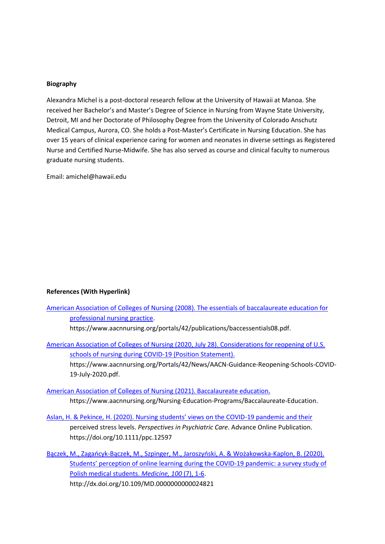## **Biography**

Alexandra Michel is a post-doctoral research fellow at the University of Hawaii at Manoa. She received her Bachelor's and Master's Degree of Science in Nursing from Wayne State University, Detroit, MI and her Doctorate of Philosophy Degree from the University of Colorado Anschutz Medical Campus, Aurora, CO. She holds a Post-Master's Certificate in Nursing Education. She has over 15 years of clinical experience caring for women and neonates in diverse settings as Registered Nurse and Certified Nurse-Midwife. She has also served as course and clinical faculty to numerous graduate nursing students.

Email: amichel@hawaii.edu

## **References (With Hyperlink)**

| American Association of Colleges of Nursing (2008). The essentials of baccalaureate education for |  |
|---------------------------------------------------------------------------------------------------|--|
| professional nursing practice.                                                                    |  |
| https://www.aacnnursing.org/portals/42/publications/baccessentials08.pdf.                         |  |

[American Association of Colleges of Nursing \(2020, July 28\). Considerations for reopening of U.S.](healthcare.global-summit.com)  [schools of nursing during COVID-19 \(Position Statement\).](healthcare.global-summit.com) https://www.aacnnursing.org/Portals/42/News/AACN-Guidance-Reopening-Schools-COVID-19-July-2020.pdf.

[American Association of Colleges of Nursing \(2021\). Baccalaureate education.](healthcare.global-summit.com) https://www.aacnnursing.org/Nursing-Education-Programs/Baccalaureate-Education.

[Aslan, H. & Pekince, H. \(2020\). Nursing students' views on the COVID](healthcare.global-summit.com)-19 pandemic and their perceived stress levels. *Perspectives in Psychiatric Care*. Advance Online Publication. https://doi.org/10.1111/ppc.12597

Bączek, M., Zagańcyk-[Bączek, M., Szpinger, M., Jaroszyński, A. & Wożakowska](healthcare.global-summit.com)-Kaplon, B. (2020). Students' perception of o[nline learning during the COVID-19 pandemic: a survey study of](healthcare.global-summit.com)  [Polish medical students.](healthcare.global-summit.com) *Medicine, 100* (7), 1-6. http://dx.doi.org/10.109/MD.0000000000024821